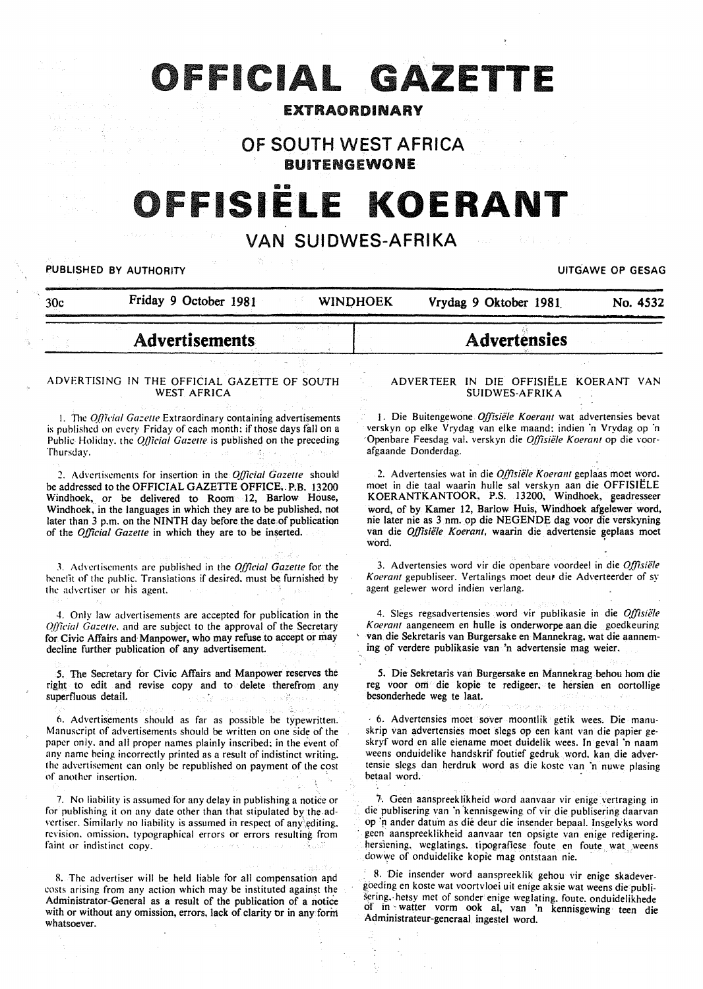# OFFICIAL GAZETTE

# EXTRAORDINARY

# OF SOUTH WEST AFRICA

**BUITENGEWONE** 

# 11111111 **FISIELE KOERANT**

# VAN **SUIDWES-AFRIKA**

#### PUBLISHED BY AUTHORITY **EXECUTE A SECURE ASSESSED ASSAULTED** TO BE A SECURE 2014 OF GESAG

30c Friday 9 October 1981 WINO HOEK Vrydag 9 Oktober 1981 No. 4532

# **Advertisements**

#### ADVERTISING IN THE OFFICIAL GAZETTE OF SOUTH WEST AFRICA

1. The *Official Gazette* Extraordinary containing advertisements is published on every Friday of each month: if those days fall on a Public Holiday. the *Official Gazette* is published on the preceding Thursday.

*2.* Advertisements for insertion in the *Official Gazette* should be addressed to the OFFICIAL GAZETTE OFFICE,. P.B. 13200 Windhoek, or be delivered to Room 12, Barlow House, Windhoek, in the languages in which they are to be published, not later than 3 p.m. on the NINTH day before the date of publication of the *Official Gazette* in which they are to be inserted.

*3.* Advertisements are published in the *Official Gazette* for the benefit of the public. Translations if desired. must be furnished by the advertiser or his agent.

4. Only law advertisements are accepted for pubiication in the *Qlficial Gazette, and are subject to the approval of the Secretary* for Civic Affairs and· Manpower, who may refuse to accept or may decline further publication of any advertisement.

*5.* The Secretary for Civic Affairs and Manpower reserves the right to edit and revise copy and to delete therefrom any superfluous detail.

6. Advertisements should as far as possible be typewritten. Manuscript of advertisements should be written on one side of the paper only. and all proper names plainly inscribed: in the event of any name being incorrectly printed as a result of indistinct writing. the advertisement can only be republished on payment of the cost of another insertion.

7. No liability is assumed for any delay in publishing a notice or for publishing it on any date other than that stipulated by the.advertiser. Similarly no liability is assumed in respect of any editing. revision. omission. typographical errors or errors resulting from faint or indistinct copy.

R. The advertiser will be. held liable for all compensation and costs arising from any action which may be instituted against the Administrator-General as a result of the publication of a notice with or without any omission, errors, lack of clarity or in any form whatsoever.

#### ADVERTEER IN DIE OFFISIELE KOERANT VAN SUIDWES-AFRIKA

Advertensies

1. Die Buitengewone *Offisiële Koerant* wat advertensies bevat verskyn op elke Vrydag van elke maand: indien 'n Vrydag op ·n Openbare Feesdag val. verskyn die *Offisiële Koerant* op die voorafgaande Donderdag.

2. Advertensies wat in die *Offisiële Koerant* geplaas moet word. moct in die taal waarin hulle sal verskvn aan die OFFISIELE KOERANTKANTOOR, P.S. 13200, Windhoek, geadresseer word, of by Kamer 12, Barlow Huis, Windhoek afgelewer word, nie later nie as 3 nm. op die NEGENDE dag voor die verskyning van die *Offisiële Koerant*, waarin die advertensie geplaas moet word.

3. Advertensies word vir die openbare voordeel in die *Offisie/e Koerant gepubliseer. Vertalings moet deur die Adverteerder of sy* agent gelewer word indien verlang.

4. Slegs regsadvertensies word vir publikasie in die *Offisiele*  Koerant aangeneem en hulle is onderworpe aan die goedkeuring ' van die Sekretaris van Burgersake en Mannekrag, wat die aanneming of verdere publikasie van 'n advertensie mag weier.

*5.* Die Sekretaris van Burgersake en Mannekrag behou hom die reg voor om die kopie te redigeer, te hersien en oortollige besonderhede weg te laat.

6. Advertensies moct sover moontlik getik wees. Die manuskrip van advertensies moet slegs op een kant van die papier geskryf word en aile eiename moet duidelik wees. In geval 'n naam weens onduidelike handskrif foutief gedruk word. kan die advertensie slegs dan herdruk word as die koste van 'n nuwe plasing betaal word.

7-. Geen aanspreeklikheid word aanvaar vir enige vertraging in die publisering van 'n kennisgewing of vir die publisering daarvan op ~n ander datum as die deur die insender bepaal. Insgelyks word geen aanspreeklikheid aanvaar ten opsigte van enige redigering. hersiening. weglatings. tipografiese foute en foute wat weens dowwe of onduidelike kopie mag ontstaan nie.

R. 'Die insender word aanspreeklik gehou vir enige skadevergoeding en koste wat voortvloei uit enige aksie wat weens die publisering.· hetsy met of sonder enige weglating. foute~ onduidelikhede of in -watter vorm ook al, van 'n kennisgewing · teen die Administrateur-generaal ingestel word.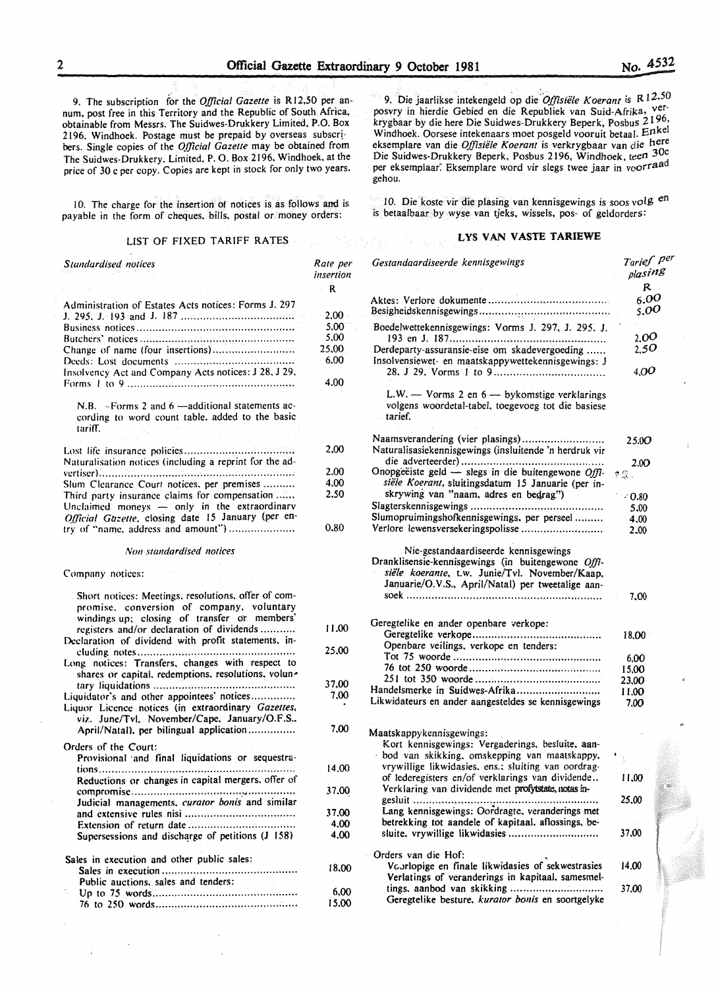9. The subscription for the *Official Gazette* is R12.50 per annum. post free in this Territory and the Republic of South Africa, obtainable from Messrs. The Suidwes-Drukkery Limited, P.O. Box 2196, Windhoek. Postage must be prepaid by overseas subscribers. Single copies of the *0./flcial Gazette* may be obtained from The Suidwes-Drukkery. Limited. P. 0. Box 2196. Windhoek. at the price of 30 c per copy. Copies are kept in stock for only two years.

10. The charge for the insertion of notices is as follows and is payable in the form of cheques. bills. postal or money orders:

#### LIST OF FIXED TARIFF RATES

#### *Stundardised notices*  Administration of Estates Acts notices: Forms J. 297 J. 295. J. 193 and J. 187 .................................. .. Business notices ................................................ .. Butchers' notices ................................................ . Change of name (four insertions) ......................... . Deeds: Lost documents .................................... .. Insolvency Act and Company Acts notices: J 28. J 29. Forms I to 9 ................................................... ..  $N.B. -Forms 2 and 6 -additional statements ac$ cording to word count table. added to the basic tariff. Lost life insurance policies .................................. . Naturalisation notices (including a reprint for the advertiser) ............................................................. . Slum Clearance Court notices, per premises .......... Third party insurance claims for compensation ...... Unclaimed moneys  $-$  only in the extraordinary *Official Gazette, closing date 15 January (per en*try of "name. address and amount'') .................... . *Non-standardised notices*  Company notices: Short notices: Meetings. resolutions. offer of compromise. conversion of company. voluntary windings up: closing of transfer or members' registers and/or declaration of dividends ......... .. Declaration of dividend with profit statements. including notes ................................................ .. Long notices: Transfers. changes with respect to shares or capital, redemptions, resolutions, voluntary liquidations ........................................... .. Liquidator's and other appointees' notices.............. Liquor Licence notices (in extraordinary *Gazelles,*  viz. June/Tvl. November/Cape. January/O.F.S.. April/Natal). per bilingual application ............... Orders of the Court: Provisional and final liquidations or sequestrations ............................................................. . Reductions or changes in capital mergers. offer of compromise .................................................. .. Judicial managements. *curator bonis.* and similar and extensive rules nisi .................................. . Extension of return date ................................ .. Supersessions and discharge of petitions  $(J \ 158)$ Sales in execution and other public sales: Sales in execution ......................................... .. Public auctions. sales and tenders: Up to 75 words ............................................ .. 76 to 250 words ............................................. · *Rate per insertion*  R 2.00 5.00 5.00 25.00 6.00 4.00 2.00 2.00 4.00 2.50 0.80 11.00 25.00 37.00 7.00 7.00 14.00 37.00 37.00 4.00 4.00 18.00 6.00 15.00

9. Die jaarlikse intekengeld op die *Offisiële Koerant* is R 12.50 posvry in hierdie Gebied en die Republiek van Suid-Afrika, verkrygbaar by die here Die Suidwes-Drukkery Beperk, Posbus 2196, Windhoek. Oorsese intekenaars moet posgeld vooruit betaal. Enkel eksemplare van die *Offisiële Koerant* is verkrygbaar van die here Die Suidwes-Drukkery Beperk, Posbus 2196, Windhoek, teen 30c per eksemplaar. Eksemplare word vir slegs twee jaar in voorraad gehou.

10. Die koste vir die plasing van kennisgewings is soos volg en is betaalbaar by wyse van tjeks, wissels, pos- of geldorders:

#### LYS VAN VASTE TARIEWE

| Gestandaardiseerde kennisgewings                                                                                                                                                                  | Tarief P <sup>er</sup><br>plasing |
|---------------------------------------------------------------------------------------------------------------------------------------------------------------------------------------------------|-----------------------------------|
|                                                                                                                                                                                                   | $R -$                             |
|                                                                                                                                                                                                   | 6.00<br>5.00                      |
| Boedelwettekennisgewings: Vorms J. 297, J. 295, J.                                                                                                                                                | 2,00                              |
| Derdeparty-assuransie-eise om skadevergoeding<br>Insolvensiewet- en maatskappywettekennisgewings: J                                                                                               | 2,50                              |
|                                                                                                                                                                                                   | 4.00                              |
| $L.W.$ - Vorms 2 en $6$ - by komstige verklarings<br>volgens woordetal-tabel, toegevoeg tot die basiese<br>tarief.                                                                                |                                   |
| Naamsverandering (vier plasings)<br>Naturalisasiekennisgewings (insluitende 'n herdruk vir                                                                                                        | 25.00                             |
|                                                                                                                                                                                                   | 2.00                              |
| Onopgeëiste geld — slegs in die buitengewone Offi-                                                                                                                                                | 京優.                               |
| siële Koerant, sluitingsdatum 15 Januarie (per in-                                                                                                                                                |                                   |
| skrywing van "naam, adres en bedrag")                                                                                                                                                             | $\sim 0.80$                       |
|                                                                                                                                                                                                   | 5.00                              |
| Slumopruimingshofkennisgewings, per perseel                                                                                                                                                       | 4,00                              |
| Verlore lewensversekeringspolisse                                                                                                                                                                 | 2,00                              |
| Nie-gestandaardiseerde kennisgewings<br>Dranklisensie-kennisgewings (in buitengewone Offi-<br>siële koerante, t.w. Junie/Tvl. November/Kaap,<br>Januarie/O.V.S., April/Natal) per tweetalige aan- | 7.00                              |
|                                                                                                                                                                                                   |                                   |
| Geregtelike en ander openbare verkope:                                                                                                                                                            |                                   |
| Openbare veilings, verkope en tenders:                                                                                                                                                            | 18,00                             |
|                                                                                                                                                                                                   | 6,00                              |
|                                                                                                                                                                                                   | 15,00                             |
|                                                                                                                                                                                                   | 23,00                             |
| Handelsmerke in Suidwes-Afrika                                                                                                                                                                    | 11.00                             |
| Likwidateurs en ander aangesteldes se kennisgewings                                                                                                                                               | 7,00                              |
|                                                                                                                                                                                                   |                                   |
| Maatskappykennisgewings:                                                                                                                                                                          |                                   |
| Kort kennisgewings: Vergaderings, besluite, aan-                                                                                                                                                  |                                   |
| bod van skikking, omskepping van maatskappy,                                                                                                                                                      |                                   |
| vrywillige likwidasies, ens.; sluiting van oordrag-                                                                                                                                               |                                   |
| of lederegisters en/of verklarings van dividende<br>Verklaring van dividende met profytstate, notas in-                                                                                           | 11,00                             |
| gesluit<br>Lang kennisgewings: Oordragte, veranderings met                                                                                                                                        | 25.00                             |
| betrekking tot aandele of kapitaal, aflossings, be-                                                                                                                                               |                                   |
| sluite, vrywillige likwidasies                                                                                                                                                                    | 37,00                             |
| Orders van die Hof:                                                                                                                                                                               |                                   |
| Voorlopige en finale likwidasies of sekwestrasies<br>Verlatings of veranderings in kapitaal, samesmel-                                                                                            | 14.00                             |
|                                                                                                                                                                                                   | 37.00                             |
| Geregtelike besture, kurator bonis en soortgelyke                                                                                                                                                 |                                   |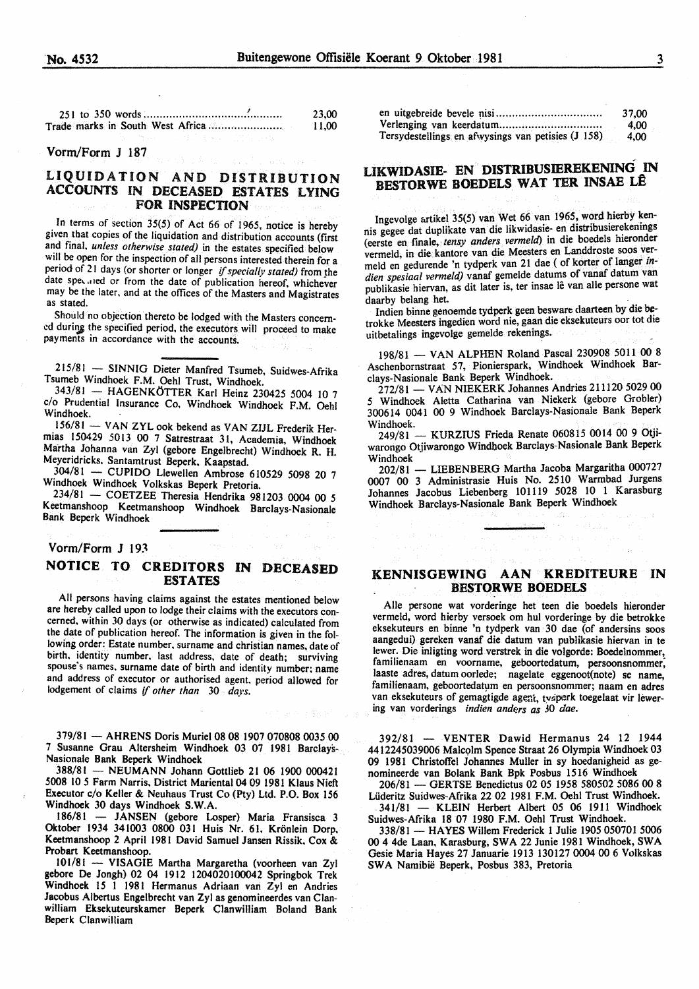|  | 23.00 |
|--|-------|
|  | 11.00 |
|  |       |

#### Vorm/Form J 187

## LIQUIDATION AND DISTRIBUTION ACCOUNTS IN DECEASED ESTATES LYING FOR INSPECTION

In terms of section 35(5) of Act 66 of 1965, notice is hereby given tbat copies of the liquidation and distribution accounts (first and final. *unless otherwise stated)* in the estates specified below will be open for the inspection of all persons interested therein for a period of 21 days (or shorter or longer if specially stated) from the date speculed or from the date of publication hereof, whichever may be the later. and at the offices of the Masters and Magistrates as stated.

Should no objection thereto be lodged with the Masters concerned during the specified period, the executors will proceed to make payments in accordance with the accounts.

215/81 - SINNIG Dieter Manfred Tsumeb, Suidwes-Afrika Tsumeb Windhoek F.M. Oehl Trust, Windhoek.

343/81 - HAGENKÖTTER Karl Heinz 230425 5004 10 7 c/o Prudential Insurance Co, Windhoek Windhoek F.M. Oehl Windhoek.

156/81 - VAN ZYL ook bekend as VAN ZIJL Frederik Hermias 150429 5013 00 7 Satrestraat 31, Academia, Windhoek Martha Johanna van Zyl (gebore Engelbrecht) Windhoek R. H. Meyeridricks. Santamtrust Beperk, Kaapstad.

 $304/81$  - CUPIDO Llewellen Ambrose 610529 5098 20 7 Windhoek Windhoek Volkskas Beperk Pretoria.

234/81 - COETZEE Theresia Hendrika 981203 0004 00 *5*  Keetmanshoop Keetmanshoop Windhoek Barclays-Nasionale Bank Beperk Windhoek

#### Vorm/Form J 193

# NOTICE TO CREDITORS IN DECEASED ESTATES

All persons having claims against the estates mentioned below are hereby called upon to lodge their claims with the executors concerned, within 30 days (or otherwise as indicated) calculated from the date of publication hereof. The information is given in the following order: Estate number. surname and christian names. date of birth. identity number. last address, date of death; surviving spouse's names. surname date of birth and identity number; name and address of executor or authorised agent. period allowed for lodgement of claims if *other than* 30 *days.* 

379/81 -AHRENS Doris Muriel 08 08 1907 070808 0035 00 7 Susanne Grau Altersheim Windhoek 03 07 1981 Barclays-Nasionale Bank Beperk Windhoek

388/81 - NEUMANN Johann Gottlieb 21 06 1900 000421 5008 10 *5* Farm Narris, District Mariental 04 09 1981 Klaus Nieft Executor c/o Keller & Neuhaus Trust Co (Pty) Ltd. P.O. Box 156 Windhoek 30 days Windhoek S.W.A.

186/81 - JANSEN (gebore Losper) Maria Fransisca 3 Oktober 1934 341003 0800 031 Huis Nr. 61. Kronlein Dorp, Keetmanshoop 2 April 1981 David Samuel Jansen Rissik, Cox & Probart Keetmanshoop.

101/81 - VISAGIE Martha Margaretha (voorheen van Zyl gebore De Jongh) 02 04 1912 1204020100042 Springbok Trek Windhoek 15 I 1981 Hermanus Adriaan van Zyl en Andries Jacobus Albertus Engelbrecht van Zyl as genomineerdes van Clanwilliam Eksekuteurskamer Beperk Clanwilliam Boland Bank Beperk Clanwilliam

|                                                    | 37.00 |
|----------------------------------------------------|-------|
|                                                    | 4.00  |
| Tersydestellings en afwysings van petisies (J 158) | 4.00  |

# LIKWIDASIE- EN DISTRIBUSIEREKENING IN BESTORWE BOEDELS WAT TER INSAE LÊ

Ingevolge artikel 35(5) van Wet 66 van 1965, word hierby kennis gegee dat duplikate van die likwidasie- en distribusierekenings (eerste en finale, *tensy anders vermeld)* in die boedels hieronder vermeld, in die kantore van die Meesters en Landdroste soos vermeld en gedurende 'n tydperk van 21 dae (of korter of Ianger *indien spesiaal vermeld)* vanaf gemelde datums of vanaf datum van publikasie hiervan, as dit later is, ter insae lê van alle persone wat daarby belang het.

Indien binne genoemde tydperk geen besware daarteen by die betrokke Meesters ingedien word nie, gaan die eksekuteurs oor tot die uitbetalings ingevolge gemelde rekenings.

198/81 - VAN ALPHEN Roland Pascal 230908 5011 00 8 Aschenbornstraat 57, Pionierspark, Windhoek Windhoek Barclays-Nasionale Bank Beperk Windhoek.

272/81 - VAN NIEKERK Johannes Andries 211120 5029 00 *5* Windhoek Aletta Catharina van Niekerk (gebore Grobler) 300614 0041 00 9 Windhoek Barclays-Nasionale Bank Beperk

Windhoek.<br>- 249/81 - KURZIUS Frieda Renate 060815 0014 00 9 Otjiwarongo Otjiwarongo Windboek Barclays-Nasionale Bank Beperk Windhoek

202/81 - LIEBENBERG Martha Jacoba Margaritha 000727 0007 00 3 Administrasie Huis No. 2510 Warmbad Jurgens Johannes Jacobus Liebenberg 101119 5028 10 1 Karasburg Windhoek Barclays-Nasionale Bank Beperk Windhoek

## KENNISGEWING AAN KREDITEURE IN BESTORWE BOEDELS

Aile persone wat vorderinge het teen die boedels hieronder vermeld, word hierby versoek om hul vorderinge by die betrokke eksekuteurs en binne 'n tydperk van 30 dae (of andersins soos aangedui) gereken vanaf die datum van publikasie hiervan in te !ewer. Die inligting word verstrek in die volgorde: Boedelnommer, familienaam en voorname, geboortedatum, persoonsnommer; laaste adres, datum oorlede; nagelate eggenoot(note) se name, familienaam, geboortedatum en persoonsnommer; naam en adres van eksekuteurs of gemagtigde agent, tvaperk toegelaat vir lewering van vorderings *indien anders as* 30 *dae.* 

392/81 - VENTER Dawid Hermanus 24 12 1944 4412245039006 Malcqlm Spence Straat 26 Olympia Windhoek 03 09 1981 Christoffel Johannes Muller in sy hoedanigheid as genomineerde van Bolank Bank Bpk Posbus 1516 Windhoek

206/81 - GERTSE Benedictus 02 05 1958 580502 5086 00 8 Liideritz Suidwes-Afrika 22 02 1981 F.M. Oehl Trust Windhoek. . 341/81 - KLEIN Herbert Albert 05 06 1911 Windhoek

Suidwes-Afrika 18 07 1980 F.M. Oehl Trust Windhoek.

338/81 - HAYES Willem Frederick 1 Julie 1905 050701 5006 00 4 4de Laan, Karasburg, SW A 22 Junie 1981 Windhoek, SW A Gesie Maria Hayes 27 Januarie 1913 130127 0004 00 6 Volkskas SW A Namibie Beperk, Posbus 383, Pretoria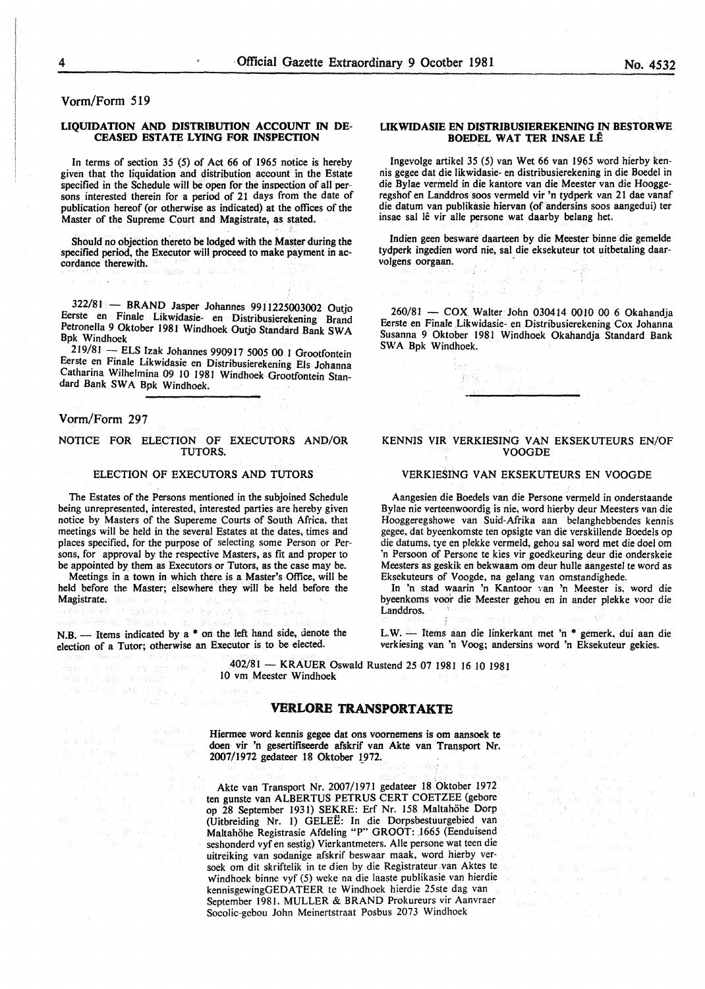Vorm/Form 519

#### LIQUIDATION AND DISTRIBUTION ACCOUNT IN DE-CEASED ESTATE LYING FOR INSPECTION

In terms of section 35 (5) of Act 66 of 1965 notice is hereby given that the liquidation and distribution account in the Estate specified in the Schedule will be open for the inspection of all persons interested therein for a period of 21 days from the date of publication hereof (or otherwise as indicated) at the offices of the Master of the Supreme Court and Magistrate, as stated.

Should no objection thereto be lodged with the Master during the specified period, the Executor will proceed to make payment in accordance therewith. Steven New

322/81 - BRAND Jasper Johannes 9911225003002 Outjo Eerste en Finale Likwidasie- en Distribusierekening Brand Petronella 9 Oktober 1981 Windhoek Outjo Standard Bank SW A Bpk Windhoek

219/81 - ELS lzak Johannes 9909 I 7 5005 00 I Grootfontein Eerste en Finale Likwidasie en Distribusierekening Els Johanna Catharina Wilhelmina 09 10 1981 Windhoek Grootfontein Standard Bank SWA Bpk Windhoek.

#### Vorm/Form 297

# NOTICE FOR ELECTION OF EXECUTORS AND/OR . TUTORS.

#### ELECTION OF EXECUTORS AND TUTORS

The Estates of the Persons mentioned in the subjoined Schedule being unrepresented, interested, interested parties are hereby given notice by Masters of the Supereme Courts of South Africa, that meetings will be held in the several Estates at the dates, times and places specified, for the purpose of selecting some Person or Persons, for approval by the respective Masters, as fit and proper to be appointed by them as Executors or Tutors, as the case may be.

Meetings in a town in which there is a Master's Office, will be held before the Master; elsewhere they will be held before the Magistrate. againsi, sultan na

N.B. - Items indicated by a  $*$  on the left hand side, denote the election of a Tutor; otherwise an Executor is to be elected.

#### LIKWIDASIE EN DISTRIBUSIEREKENING IN BESTORWE BOEDEL WAT TER INSAE LÊ

Ingevolge artikel 35 (5) van Wet 66 van 1965 word hierby kennis gegee dat die likwidasie- en distribusierekening in die Boedel in die Bylae vermeld in die kantore van die Meester van die Hooggeregshof en Landdros soos vermeld vir 'n tydperk van 21 dae vanaf die datum van publikasie hiervan (of andersins soos aangedui) ter insae sal lê vir alle persone wat daarby belang het.

Indien geen besware daarteen by die Meester binne die gemelde tydperk ingedien word nie, sal die eksekuteur tot uitbetaling daarvolgens oorgaan.

260/81 - COX Walter John 030414 0010 00 6 Okahandia Eerste en Finale Likwidasie- en Distribusierekening Cox Johanna Susanna 9 Oktober 1981 Windhoek Okahandja Standard Bank SWA Bpk Windhoek.

#### KENNIS VIR VERKIESING VAN EKSEKUTEURS EN/OF VOOGDE

#### VERKIESING VAN EKSEKUTEURS EN VOOGDE

Aangesien die Boedels van die Persone vermeld in onderstaande Bylae nie verteenwoordig is nie, word hierby deur Meesters van die Hooggeregshowe van Suid-Afrika aan belanghebbendes kennis gegee, dat byeenkomste ten opsigte van die verskillende Boedels op die datums, tye en plekke vermeld, gehou sal word met die doe! om 'n Persoon of Persone te kies vir goedkeuring deur die onderskeie Meesters as geskik en bekwaam om deur bulle aangestel te word as Eksekuteurs of Voogde, na gelang van omstandighede.

In 'n stad waarin 'n Kantoor \'an 'n Meester is. word die byeenkoms voor die Meester gehou en in ander plekke voor die Landdros.

L.W. - Items aan die linkerkant met 'n \* gemerk, dui aan die verkiesing van 'n Voog; andersins word 'n Eksekuteur gekies.

402/81 - KRAUER Oswald Rustend 25 07 1981 16 10 1981 10 vm Meester Windhoek

#### VERLORE TRANSPORTAKTE

Hiermee word kennis gegee dat ons voomemens is om aansoek te doen vir 'n gesertifiseerde afskrif van Akte van Transport Nr. 2007/1972 gedateer 18 Oktober 1972.

Akte van Transport Nr. 2007/1971 gedateer 18 Oktober 1972 ten gunste van ALBERTUS PETRUS CERT COETZEE (gebore op 28 September 1931) SEKRE: Erf Nr. 158. Maltahohe Dorp (Uitbreiding Nr. I) GELEE: In die Dorpsbestuurgebied van Maltahohe Registrasie Afdeling "P" GROOT: 1665 (Eenduisend seshonderd vyf en sestig) Vierkantmeters. Aile persone wat teen die uitreiking van sodanige afskrif beswaar maak, word hierby versoek om dit skriftelik in te dien by die Registrateur van Aktes te windhoek binne vyf (5) weke na die laaste publikasie van hierdie kennisgewingGEDATEER te Windhoek hierdie 25ste dag van September 1981. MULLER & BRAND Prokureurs vir Aanvraer Socolic-gebou John Meinertstraat Posbus 2073 Windhoek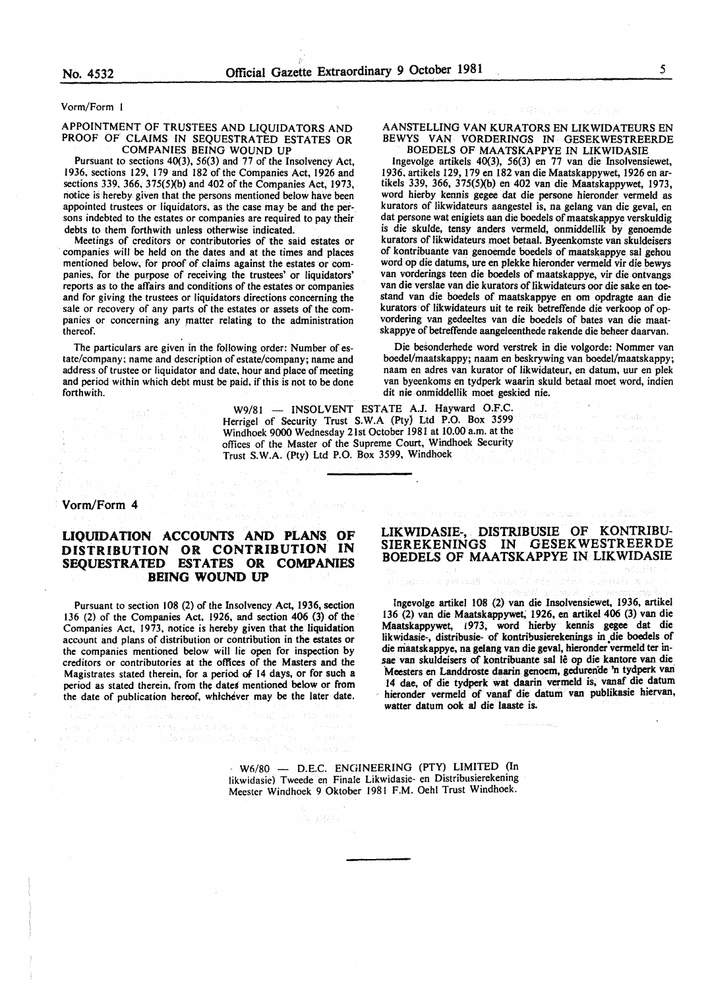Vorm/Form

#### APPOINTMENT OF TRUSTEES AND LIQUIDATORS AND PROOF OF CLAIMS IN SEQUESTRATED ESTATES OR COMPANIES BEING WOUND UP

Pursuant to sections 40(3), 56(3) and 77 of the Insolvency Act, 1936, sections 129, 179 and 182 of the Companies Act, 1926 and sections 339, 366, 375(5)(b) and 402 of the Companies Act, 1973, notice is hereby given that the persons mentioned below have been appointed trustees or liquidators, as the case may be and the persons indebted to the estates or companies are required to pay their debts to them forthwith unless otherwise indicated.

Meetings of creditors or contributories of the said estates or companies will be held on the dates and at the times and places mentioned below, for proof of claims against the estates or companies. for the purpose of receiving the trustees' or liquidators' reports as to the affairs and conditions of the estates or companies and for giving the trustees or liquidators directions concerning the sale or recovery of any parts of the estates or assets of the companies or concerning any matter relating to the administration thereof.

The particulars are given in the following order: Number of estate/company; name and description of estate/company; name and address of trustee or liquidator and date, hour and place of meeting and period within which debt must be paid, if this is not to be done forthwith.

> W9/81 - INSOLVENT ESTATE A.J. Hayward O.F.C. Herrigel of Security Trust S.W.A (Pty) Ltd P.O. Box 3599 Windhoek 9000 Wednesday 21st October 1981 at 10.00 a.m. at the offices of the Master of the Supreme Court, Windhoek Security Trust S.W.A. (Pty) Ltd P.O. Box 3599, Windhoek

Vorm/Form 4

## LIQUIDATION ACCOUNTS AND PLANS. OF DISTRIBUTION OR CONTRIBUTION IN SEQUESTRATED ESTATES OR COMPANIES BEING WOUND UP

Pursuant to section 108 (2) of the Insolvency Act, 1936, section 136 (2) of the Companies Act, 1926, and section 406 (3) of the Companies Act, 1973, notice is hereby given that the liquidation account and plans of distribution or contribution in the estates or the companies mentioned below will lie open for inspection by creditors or contributories at the offices of the Masters and the Magistrates stated therein, for a period of 14 days, or for such a period as stated therein. from the dates mentioned below or from the date of publication hereof, whichever may be the later date.

when be it really example to

#### AANSTELLING VAN KURATORS EN LIKWIDATEURS EN BEWYS VAN VORDERINGS IN GESEKWESTREERDE BOEDELS OF MAATSKAPPYE IN LIKWIDASIE

Ingevolge artikels 40(3), 56(3) en 77 van die Insolvensiewet, tikels 339, 366, 375(5)(b) en 402 van die Maatskappywet, 1973, word hierby kennis gegee dat die persone hieronder vermeld as kurators of likwidateurs aangestel is, na gelang van die geval, en dat persone wat enigiets aan die boedels of maatskappye verskuldig is die skulde, tensy anders vermeld, onmiddellik by genoemde kurators of likwidateurs moet betaal. Byeenkomste van skuldeisers of kontribuante. van genoemde boedels of maatskappye sal gehou word op die datums, ure en plekke hieronder vermeld *vir* die bewys van vorderings teen die boedels of maatskappye, vir die ontvangs van die verslae van die kurators of Iikwidateurs oor die sake en toestand van die boedels of maatskappye en om opdragte aan die kurators of likwidateurs uit te reik betreffende die verkoop of opvordering van gedeeltes van die boedels of bates van die maatskappye of betreffende aangeleenthede rakende die beheer daarvan.

Die besonderhede word verstrek in die volgorde: Nommer van boedel/maatskappy; naam en beskrywing van boedel/maatskappy; naam en adres van kurator of likwidateur, en datum, uur en plek van byeenkoms en tydperk waarin skuld betaal moet word, indien dit nie onmiddellik moet geskied nie.

## LIKWIDASIE:-, DISTRIBUSIE OF KONTRIBU-SIEREKENINGS IN GESEKWESTREERDE BOEDELS OF MAATSKAPPYE IN LIKWIDASIE

Ingevolge artikel 108 (2) van die Insolvensiewet, 1936, artikel 136 (2) van die Maatskappywet; 1926, en artike1406 (3) van die Maatskappywet, 1973, word hierby kennis gegee dat die likwidasie-, distribusie- of kontribusierekenings in die boedels of die maatskappye, na gelang van die geval, hieronder vermeld ter insae van skuldeisers of kontribuante sal lê op die kantore van die Meesters en Landdroste daarin genoem, gedurende 'n tydperk van 14 dae, of die tydperk wat daarin vermeld is, vanaf die datum hieronder vermeld of vanaf die datum van publikasie hiervan, watter datum ook al die laaste is.

 $W6/80$  - D.E.C. ENGINEERING (PTY) LIMITED (In likwidasie) Tweede en Finale Likwidasie- en Distribusierekening Meester Windhoek 9 Oktober 1981 F.M. Oehl Trust Windhoek.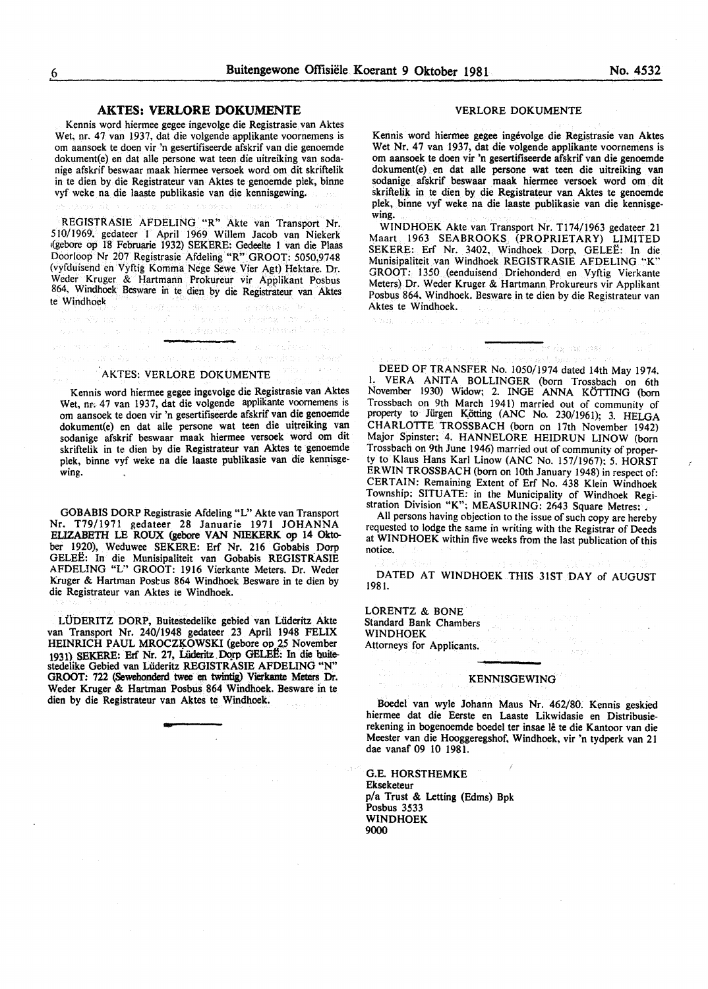#### AKTES: VERLORE DOKUMENTE

Kennis word hiermee gegee ingevolge die Registrasie van Aktes Wet, nr. 47 van 1937, dat die volgende applikante voornemens is om aansoek te doen vir 'n gesertifiseerde afskrif van die genoemde dokument(e) en dat aile persone wat teen die uitreiking van sodanige afskrif beswaar maak hiermee versoek word om dit skriftelik in te dien by die Registrateur van Aktes te genoemde plek, binne vyf weke na die laaste publikasie van die kennisgewing.

REGISTRASIE AFDELING "R" Akte van Transport Nr. 510/1969, gedateer I April 1969 Willem Jacob van Niekerk 1(gebore op 18 Februarie 1932) SEKERE: Gedeelte 1 van die Plaas Doorloop Nr 207 Registrasie Afdeling "R" GROOT: 5050,9748 (vyfduisend en Vyftig Komma Nege Sewe Vier Agt) Hektare. Dr. Weder Kruger & Hartmann Prokureur vir Applikant Posbus 864, Windhoek Besware in te dien by die Registrateur van Aktes te Windhoek  $\frac{12000}{2}$  and  $\frac{1}{2}$ <br> $\frac{1}{2}$  and  $\frac{1}{2}$  and  $\frac{1}{2}$  and  $\frac{1}{2}$ <br> $\frac{1}{2}$  and  $\frac{1}{2}$ Sangers. Anderen wir

Flame are

ilis - The Gastron County of the Street<br>San Gastron Street and the Approximation

In finition in the sy

R. Profesor St

a a shekara wa shekara wa wasan k

AKTES: VERLORE DOKUMENTE

网络神经细胞 经工作

.<br>เพิ่มที่ คืออา

Kennis word hiermee gegee ingevolge die Registrasie van Aktes Wet, nr. 47 van 1937, dat die volgende applikante voornemens is om aansoek te doen vir 'n gesertifiseerde afskrif van die genoemde dokument(e) en dat aile persone wat teen die uitreiking van sodanige afskrif beswaar maak hiermee versoek word om dit skriftelik in te dien by die Registrateur van Aktes te genoemde plek, binne vyf weke na die laaste publikasie van die kennisge $wing.$ 

GOBABIS DORP Registrasie Afdeling "L" Akte van Transport Nr. T79/l971 gedateer 28 Januarie 1971 JOHANNA ELIZABETH LE ROUX (gebore VAN NIEKERK op 14 Oktober 1920), Weduwee SEKERE: Erf Nr. 216 Gobabis Dorp GELEË: In die Munisipaliteit van Gobabis REGISTRASIE AFDELING "L" GROOT: 1916 Vierkante Meters. Dr. Weder Kruger & Hartman Postus 864 Windhoek Besware in te dien by die Registrateur van Aktes te Windhoek.

LUDERITZ DORP, Buitestedelike gebied van Liideritz Akte van Transport Nr. 240/1948 gedateer 23 April 1948 FELIX HEINRICH PAUL MROCZKOWSKI (gebore op 25 November 1931) SEKERE: Erf Nr. 27, Lüderitz Dorp GELEE: In die buitestedelike Gebied van Liideritz REGISTRASIE AFDELING "N" GROOT: 722 (Sewehonderd twee en twintig) Vierkante Meters Dr. Weder Kruger & Hartman Posbus 864 Windhoek. Besware in te dien by die Registrateur van Aktes te Windhoek.

#### VERLORE DOKUMENTE

Kennis word hiermee gegee ingevolge die Registrasie van Aktes Wet Nr. 47 van 1937, dat die volgende applikante voornemens is om aansoek te doen vir 'n gesertifiseerde afskrif van die genoemde dokument(e) en dat aile persone wat teen die uitreiking van sodanige afskrif beswaar maak hiermee versoek word om dit skriftelik in te dien by die Registrateur van Aktes te genoemde plek, binne vyf weke na die laaste publikasie van die kennisgewing.

WINDHOEK Akte van Transport Nr. T174/1963 gedateer 21 Maart 1963 SEABROOKS (PROPRIETARY) LIMITED SEKERE: Erf Nr. 3402, Windhoek Dorp, GELEE: In die Munisipa1iteit van Windhoek REGISTRASIE AFDELING "K" GROOT: 1350 (eenduisend Driehonderd en Vyftig Vierkante Meters) Dr. Weder Kruger & Hartmann Prokureurs vir Applikant Posbus 864, Windhoek. Besware in te dien by die Registrateur van Aktes te Windhoek.

te da ou sus) - c

DEED OF TRANSFER No. 1050/1974 dated 14th May 1974. I. VERA ANITA BOLLINGER (born Trossbach on 6th November 1930) Widow; 2. INGE ANNA K6TTING (born Trossbach on 9th March 1941) married out of community of property to Jürgen Kötting (ANC No. 230/1961); 3. HELGA CHARLOTTE TROSSBACH (born on 17th November 1942) Major Spinster: 4. HANNELORE HEIDRUN LINOW (born Trossbach on 9th June 1946) married out of community of property to Klaus Hans Karl Linow (ANC No. 157/1967): 5. HORST ERWIN TROSSBACH (born on lOth January 1948) in respect of: CERTAIN: Remaining Extent of Erf No. 438 Klein Windhoek Township; SITUATE: in the Municipality of Windhoek Registration Division "K"; MEASURING: 2643 Square Metres:

 $\label{eq:3.1} \left(1,12^3,25\right)\approx 1.5\approx 1.5\sqrt{3}$ 

All persons having objection to the issue of such copy are hereby requested to lodge the same in writing with the Registrar of Deeds at WINDHOEK within five weeks from the last publication of this notice.

DATED AT WINDHOEK THIS 31ST DAY of AUGUST 1981.

LORENTZ & BONE Standard Bank Chambers WINDHOEK Attorneys for Applicants.

#### KENNISGEWING

Boedel van wyle Johann Maus Nr. 462/80. Kennis geskied hiermee dat die Eerste en Laaste Likwidasie en Distribusierekening in bogenoemde boedel ter insae Ie te die Kantoor van die Meester van die Hooggeregshof, Windhoek, vir 'n tydperk van 21 dae vanaf 09 lO 1981.

G.E. HORSTHEMKE Ekseketeur p/a Trust & Letting (Edms) Bpk Posbus 3533 WINDHOEK 9000